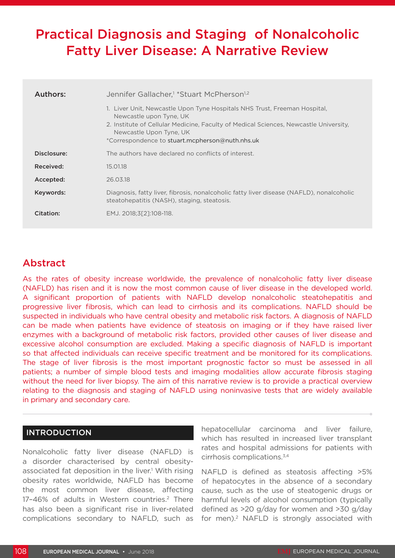# Practical Diagnosis and Staging of Nonalcoholic Fatty Liver Disease: A Narrative Review

| Authors:    | Jennifer Gallacher, <sup>1</sup> *Stuart McPherson <sup>1,2</sup><br>1. Liver Unit, Newcastle Upon Tyne Hospitals NHS Trust, Freeman Hospital,<br>Newcastle upon Tyne, UK<br>2. Institute of Cellular Medicine, Faculty of Medical Sciences, Newcastle University,<br>Newcastle Upon Tyne, UK<br>*Correspondence to stuart.mcpherson@nuth.nhs.uk |  |  |
|-------------|--------------------------------------------------------------------------------------------------------------------------------------------------------------------------------------------------------------------------------------------------------------------------------------------------------------------------------------------------|--|--|
| Disclosure: | The authors have declared no conflicts of interest.                                                                                                                                                                                                                                                                                              |  |  |
| Received:   | 15.01.18                                                                                                                                                                                                                                                                                                                                         |  |  |
| Accepted:   | 26.03.18                                                                                                                                                                                                                                                                                                                                         |  |  |
| Keywords:   | Diagnosis, fatty liver, fibrosis, nonalcoholic fatty liver disease (NAFLD), nonalcoholic<br>steatohepatitis (NASH), staging, steatosis.                                                                                                                                                                                                          |  |  |
| Citation:   | EMJ. 2018;3[2]:108-118.                                                                                                                                                                                                                                                                                                                          |  |  |

# Abstract

As the rates of obesity increase worldwide, the prevalence of nonalcoholic fatty liver disease (NAFLD) has risen and it is now the most common cause of liver disease in the developed world. A significant proportion of patients with NAFLD develop nonalcoholic steatohepatitis and progressive liver fibrosis, which can lead to cirrhosis and its complications. NAFLD should be suspected in individuals who have central obesity and metabolic risk factors. A diagnosis of NAFLD can be made when patients have evidence of steatosis on imaging or if they have raised liver enzymes with a background of metabolic risk factors, provided other causes of liver disease and excessive alcohol consumption are excluded. Making a specific diagnosis of NAFLD is important so that affected individuals can receive specific treatment and be monitored for its complications. The stage of liver fibrosis is the most important prognostic factor so must be assessed in all patients; a number of simple blood tests and imaging modalities allow accurate fibrosis staging without the need for liver biopsy. The aim of this narrative review is to provide a practical overview relating to the diagnosis and staging of NAFLD using noninvasive tests that are widely available in primary and secondary care.

## INTRODUCTION

Nonalcoholic fatty liver disease (NAFLD) is a disorder characterised by central obesityassociated fat deposition in the liver.<sup>1</sup> With rising obesity rates worldwide, NAFLD has become the most common liver disease, affecting 17-46% of adults in Western countries.<sup>2</sup> There has also been a significant rise in liver-related complications secondary to NAFLD, such as

hepatocellular carcinoma and liver failure, which has resulted in increased liver transplant rates and hospital admissions for patients with cirrhosis complications.3,4

NAFLD is defined as steatosis affecting >5% of hepatocytes in the absence of a secondary cause, such as the use of steatogenic drugs or harmful levels of alcohol consumption (typically defined as >20 g/day for women and >30 g/day for men).<sup>2</sup> NAFLD is strongly associated with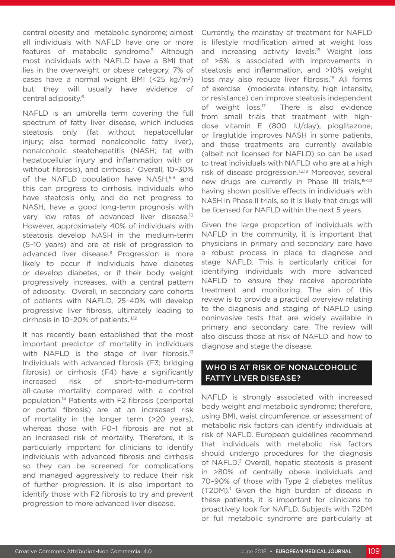central obesity and metabolic syndrome; almost all individuals with NAFLD have one or more features of metabolic syndrome.<sup>5</sup> Although most individuals with NAFLD have a BMI that lies in the overweight or obese category, 7% of cases have a normal weight BMI  $(<25 \text{ kg/m}^2)$ but they will usually have evidence of central adiposity.6

NAFLD is an umbrella term covering the full spectrum of fatty liver disease, which includes steatosis only (fat without hepatocellular injury; also termed nonalcoholic fatty liver), nonalcoholic steatohepatitis (NASH; fat with hepatocellular injury and inflammation with or without fibrosis), and cirrhosis.<sup>7</sup> Overall, 10-30% of the NAFLD population have NASH.<sup>8,9</sup> and this can progress to cirrhosis. Individuals who have steatosis only, and do not progress to NASH, have a good long-term prognosis with very low rates of advanced liver disease.<sup>10</sup> However, approximately 40% of individuals with steatosis develop NASH in the medium-term (5–10 years) and are at risk of progression to advanced liver disease.<sup>11</sup> Progression is more likely to occur if individuals have diabetes or develop diabetes, or if their body weight progressively increases, with a central pattern of adiposity. Overall, in secondary care cohorts of patients with NAFLD, 25–40% will develop progressive liver fibrosis, ultimately leading to cirrhosis in 10-20% of patients.<sup>11,12</sup>

It has recently been established that the most important predictor of mortality in individuals with NAFLD is the stage of liver fibrosis.<sup>13</sup> Individuals with advanced fibrosis (F3; bridging fibrosis) or cirrhosis (F4) have a significantly increased risk of short-to-medium-term all-cause mortality compared with a control population.14 Patients with F2 fibrosis (periportal or portal fibrosis) are at an increased risk of mortality in the longer term (>20 years), whereas those with F0–1 fibrosis are not at an increased risk of mortality. Therefore, it is particularly important for clinicians to identify individuals with advanced fibrosis and cirrhosis so they can be screened for complications and managed aggressively to reduce their risk of further progression. It is also important to identify those with F2 fibrosis to try and prevent progression to more advanced liver disease.

Currently, the mainstay of treatment for NAFLD is lifestyle modification aimed at weight loss and increasing activity levels.<sup>15</sup> Weight loss of >5% is associated with improvements in steatosis and inflammation, and >10% weight loss may also reduce liver fibrosis.<sup>16</sup> All forms of exercise (moderate intensity, high intensity, or resistance) can improve steatosis independent of weight loss.<sup>17</sup> There is also evidence from small trials that treatment with highdose vitamin E (800 IU/day), pioglitazone, or liraglutide improves NASH in some patients, and these treatments are currently available (albeit not licensed for NAFLD) so can be used to treat individuals with NAFLD who are at a high risk of disease progression.<sup>1,2,18</sup> Moreover, several new drugs are currently in Phase III trials,19-22 having shown positive effects in individuals with NASH in Phase II trials, so it is likely that drugs will be licensed for NAFLD within the next 5 years.

Given the large proportion of individuals with NAFLD in the community, it is important that physicians in primary and secondary care have a robust process in place to diagnose and stage NAFLD. This is particularly critical for identifying individuals with more advanced NAFLD to ensure they receive appropriate treatment and monitoring. The aim of this review is to provide a practical overview relating to the diagnosis and staging of NAFLD using noninvasive tests that are widely available in primary and secondary care. The review will also discuss those at risk of NAFLD and how to diagnose and stage the disease.

#### WHO IS AT RISK OF NONALCOHOLIC FATTY LIVER DISEASE?

NAFLD is strongly associated with increased body weight and metabolic syndrome; therefore, using BMI, waist circumference, or assessment of metabolic risk factors can identify individuals at risk of NAFLD. European guidelines recommend that individuals with metabolic risk factors should undergo procedures for the diagnosis of NAFLD.<sup>2</sup> Overall, hepatic steatosis is present in >80% of centrally obese individuals and 70–90% of those with Type 2 diabetes mellitus (T2DM).<sup>1</sup> Given the high burden of disease in these patients, it is important for clinicians to proactively look for NAFLD. Subjects with T2DM or full metabolic syndrome are particularly at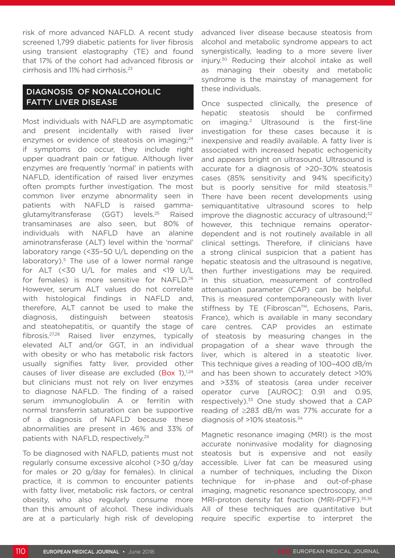risk of more advanced NAFLD. A recent study screened 1,799 diabetic patients for liver fibrosis using transient elastography (TE) and found that 17% of the cohort had advanced fibrosis or cirrhosis and 11% had cirrhosis.23

# DIAGNOSIS OF NONALCOHOLIC FATTY LIVER DISEASE

Most individuals with NAFLD are asymptomatic and present incidentally with raised liver enzymes or evidence of steatosis on imaging;<sup>24</sup> if symptoms do occur, they include right upper quadrant pain or fatigue. Although liver enzymes are frequently 'normal' in patients with NAFLD, identification of raised liver enzymes often prompts further investigation. The most common liver enzyme abnormality seen in patients with NAFLD is raised gammaglutamyltransferase (GGT) levels.25 Raised transaminases are also seen, but 80% of individuals with NAFLD have an alanine aminotransferase (ALT) level within the 'normal' laboratory range (<35–50 U/L depending on the laboratory).<sup>5</sup> The use of a lower normal range for ALT (<30 U/L for males and <19 U/L for females) is more sensitive for NAFLD.<sup>26</sup> However, serum ALT values do not correlate with histological findings in NAFLD and, therefore, ALT cannot be used to make the diagnosis, distinguish between steatosis and steatohepatitis, or quantify the stage of fibrosis.27,28 Raised liver enzymes, typically elevated ALT and/or GGT, in an individual with obesity or who has metabolic risk factors usually signifies fatty liver, provided other causes of liver disease are excluded (Box 1), $1,24$ but clinicians must not rely on liver enzymes to diagnose NAFLD. The finding of a raised serum immunoglobulin A or ferritin with normal transferrin saturation can be supportive of a diagnosis of NAFLD because these abnormalities are present in 46% and 33% of patients with NAFLD, respectively.29

To be diagnosed with NAFLD, patients must not regularly consume excessive alcohol (>30 g/day for males or 20 g/day for females). In clinical practice, it is common to encounter patients with fatty liver, metabolic risk factors, or central obesity, who also regularly consume more than this amount of alcohol. These individuals are at a particularly high risk of developing

advanced liver disease because steatosis from alcohol and metabolic syndrome appears to act synergistically, leading to a more severe liver injury.30 Reducing their alcohol intake as well as managing their obesity and metabolic syndrome is the mainstay of management for these individuals.

Once suspected clinically, the presence of hepatic steatosis should be confirmed on imaging.2 Ultrasound is the first-line investigation for these cases because it is inexpensive and readily available. A fatty liver is associated with increased hepatic echogenicity and appears bright on ultrasound. Ultrasound is accurate for a diagnosis of >20–30% steatosis cases (85% sensitivity and 94% specificity) but is poorly sensitive for mild steatosis.<sup>31</sup> There have been recent developments using semiquantitative ultrasound scores to help improve the diagnostic accuracy of ultrasound; $32$ however, this technique remains operatordependent and is not routinely available in all clinical settings. Therefore, if clinicians have a strong clinical suspicion that a patient has hepatic steatosis and the ultrasound is negative, then further investigations may be required. In this situation, measurement of controlled attenuation parameter (CAP) can be helpful. This is measured contemporaneously with liver stiffness by TE (Fibroscan™, Echosens, Paris, France), which is available in many secondary care centres. CAP provides an estimate of steatosis by measuring changes in the propagation of a shear wave through the liver, which is altered in a steatotic liver. This technique gives a reading of 100–400 dB/m and has been shown to accurately detect >10% and >33% of steatosis (area under receiver operator curve [AUROC]: 0.91 and 0.95, respectively).33 One study showed that a CAP reading of ≥283 dB/m was 77% accurate for a diagnosis of >10% steatosis.34

Magnetic resonance imaging (MRI) is the most accurate noninvasive modality for diagnosing steatosis but is expensive and not easily accessible. Liver fat can be measured using a number of techniques, including the Dixon technique for in-phase and out-of-phase imaging, magnetic resonance spectroscopy, and MRI-proton density fat fraction (MRI-PDFF).<sup>35,36</sup> All of these techniques are quantitative but require specific expertise to interpret the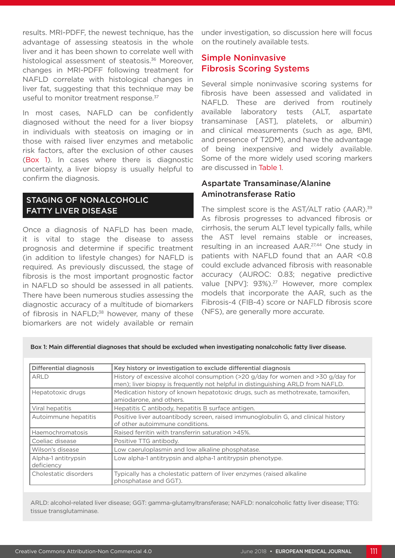results. MRI-PDFF, the newest technique, has the advantage of assessing steatosis in the whole liver and it has been shown to correlate well with histological assessment of steatosis.<sup>36</sup> Moreover, changes in MRI-PDFF following treatment for NAFLD correlate with histological changes in liver fat, suggesting that this technique may be useful to monitor treatment response.<sup>37</sup>

In most cases, NAFLD can be confidently diagnosed without the need for a liver biopsy in individuals with steatosis on imaging or in those with raised liver enzymes and metabolic risk factors, after the exclusion of other causes (Box 1). In cases where there is diagnostic uncertainty, a liver biopsy is usually helpful to confirm the diagnosis.

# STAGING OF NONALCOHOLIC FATTY LIVER DISEASE

Once a diagnosis of NAFLD has been made, it is vital to stage the disease to assess prognosis and determine if specific treatment (in addition to lifestyle changes) for NAFLD is required. As previously discussed, the stage of fibrosis is the most important prognostic factor in NAFLD so should be assessed in all patients. There have been numerous studies assessing the diagnostic accuracy of a multitude of biomarkers of fibrosis in NAFLD;<sup>38</sup> however, many of these biomarkers are not widely available or remain

under investigation, so discussion here will focus on the routinely available tests.

# Simple Noninvasive Fibrosis Scoring Systems

Several simple noninvasive scoring systems for fibrosis have been assessed and validated in NAFLD. These are derived from routinely available laboratory tests (ALT, aspartate transaminase [AST], platelets, or albumin) and clinical measurements (such as age, BMI, and presence of T2DM), and have the advantage of being inexpensive and widely available. Some of the more widely used scoring markers are discussed in Table 1.

#### Aspartate Transaminase/Alanine Aminotransferase Ratio

The simplest score is the AST/ALT ratio (AAR).<sup>39</sup> As fibrosis progresses to advanced fibrosis or cirrhosis, the serum ALT level typically falls, while the AST level remains stable or increases, resulting in an increased AAR.27,44 One study in patients with NAFLD found that an AAR <0.8 could exclude advanced fibrosis with reasonable accuracy (AUROC: 0.83; negative predictive value [NPV]: 93%).<sup>27</sup> However, more complex models that incorporate the AAR, such as the Fibrosis-4 (FIB-4) score or NAFLD fibrosis score (NFS), are generally more accurate.

Box 1: Main differential diagnoses that should be excluded when investigating nonalcoholic fatty liver disease.

| Differential diagnosis                                                                                                  | Key history or investigation to exclude differential diagnosis                                                                                                     |  |  |
|-------------------------------------------------------------------------------------------------------------------------|--------------------------------------------------------------------------------------------------------------------------------------------------------------------|--|--|
| ARLD                                                                                                                    | History of excessive alcohol consumption (>20 g/day for women and >30 g/day for<br>men); liver biopsy is frequently not helpful in distinguishing ARLD from NAFLD. |  |  |
| Hepatotoxic drugs                                                                                                       | Medication history of known hepatotoxic drugs, such as methotrexate, tamoxifen,<br>amiodarone, and others.                                                         |  |  |
| Viral hepatitis                                                                                                         | Hepatitis C antibody, hepatitis B surface antigen.                                                                                                                 |  |  |
| Autoimmune hepatitis                                                                                                    | Positive liver autoantibody screen, raised immunoglobulin G, and clinical history<br>of other autoimmune conditions.                                               |  |  |
| Haemochromatosis                                                                                                        | Raised ferritin with transferrin saturation >45%.                                                                                                                  |  |  |
| Coeliac disease                                                                                                         | Positive TTG antibody.                                                                                                                                             |  |  |
| Wilson's disease                                                                                                        | Low caeruloplasmin and low alkaline phosphatase.                                                                                                                   |  |  |
| Alpha-1 antitrypsin<br>deficiency                                                                                       | Low alpha-1 antitrypsin and alpha-1 antitrypsin phenotype.                                                                                                         |  |  |
| Typically has a cholestatic pattern of liver enzymes (raised alkaline<br>Cholestatic disorders<br>phosphatase and GGT). |                                                                                                                                                                    |  |  |

ARLD: alcohol-related liver disease; GGT: gamma-glutamyltransferase; NAFLD: nonalcoholic fatty liver disease; TTG: tissue transglutaminase.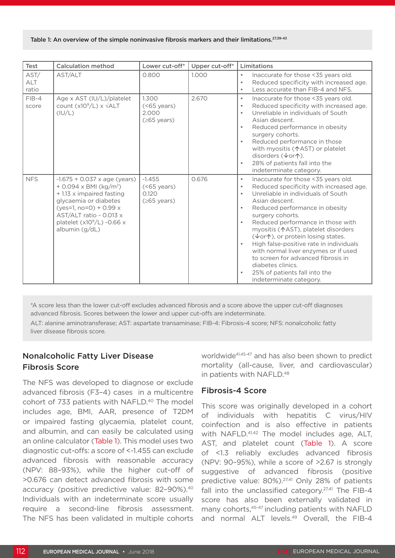| Test                        | <b>Calculation method</b>                                                                                                                                                                                                                   | Lower cut-off*                                  | Upper cut-off* | Limitations                                                                                                                                                                                                                                                                                                                                                                                                                                                                                                                                                                                         |
|-----------------------------|---------------------------------------------------------------------------------------------------------------------------------------------------------------------------------------------------------------------------------------------|-------------------------------------------------|----------------|-----------------------------------------------------------------------------------------------------------------------------------------------------------------------------------------------------------------------------------------------------------------------------------------------------------------------------------------------------------------------------------------------------------------------------------------------------------------------------------------------------------------------------------------------------------------------------------------------------|
| AST/<br><b>ALT</b><br>ratio | AST/ALT                                                                                                                                                                                                                                     | 0.800                                           | 1.000          | Inaccurate for those <35 years old.<br>$\bullet$<br>Reduced specificity with increased age.<br>$\bullet$<br>Less accurate than FIB-4 and NFS.<br>$\bullet$                                                                                                                                                                                                                                                                                                                                                                                                                                          |
| $FIB-4$<br>score            | Age x AST (IU/L)/platelet<br>count $(x10^9/L) \times \sqrt{ALT}$<br>(IU/L)                                                                                                                                                                  | 1.300<br>(<br>2.000<br>$(≥65 \text{ years})$    | 2.670          | Inaccurate for those <35 years old.<br>$\bullet$<br>Reduced specificity with increased age.<br>$\bullet$<br>Unreliable in individuals of South<br>٠<br>Asian descent.<br>Reduced performance in obesity<br>$\bullet$<br>surgery cohorts.<br>Reduced performance in those<br>with myositis (个AST) or platelet<br>disorders (↓or个).<br>28% of patients fall into the<br>$\bullet$<br>indeterminate category.                                                                                                                                                                                          |
| <b>NFS</b>                  | $-1.675 + 0.037$ x age (years)<br>$+$ 0.094 x BMI (kg/m <sup>2</sup> )<br>+ 1.13 x impaired fasting<br>glycaemia or diabetes<br>(yes=1, no=0) + 0.99 $\times$<br>AST/ALT ratio - 0.013 x<br>platelet $(x109/L) -0.66 x$<br>albumin $(g/dL)$ | $-1.455$<br>(<br>0.120<br>$(≥65 \text{ years})$ | 0.676          | Inaccurate for those <35 years old.<br>$\bullet$<br>Reduced specificity with increased age.<br>$\bullet$<br>Unreliable in individuals of South<br>$\bullet$<br>Asian descent.<br>Reduced performance in obesity<br>$\bullet$<br>surgery cohorts.<br>Reduced performance in those with<br>myositis ( $\uparrow$ AST), platelet disorders<br>(↓or个), or protein losing states.<br>High false-positive rate in individuals<br>$\bullet$<br>with normal liver enzymes or if used<br>to screen for advanced fibrosis in<br>diabetes clinics.<br>25% of patients fall into the<br>indeterminate category. |

\*A score less than the lower cut-off excludes advanced fibrosis and a score above the upper cut-off diagnoses advanced fibrosis. Scores between the lower and upper cut-offs are indeterminate.

ALT: alanine aminotransferase; AST: aspartate transaminase; FIB-4: Fibrosis-4 score; NFS: nonalcoholic fatty liver disease fibrosis score.

# Nonalcoholic Fatty Liver Disease Fibrosis Score

The NFS was developed to diagnose or exclude advanced fibrosis (F3–4) cases in a multicentre cohort of 733 patients with NAFLD.<sup>40</sup> The model includes age, BMI, AAR, presence of T2DM or impaired fasting glycaemia, platelet count, and albumin, and can easily be calculated using an online calculator (Table 1). This model uses two diagnostic cut-offs: a score of <-1.455 can exclude advanced fibrosis with reasonable accuracy (NPV: 88–93%), while the higher cut-off of >0.676 can detect advanced fibrosis with some accuracy (positive predictive value: 82–90%).40 Individuals with an indeterminate score usually require a second-line fibrosis assessment. The NFS has been validated in multiple cohorts

worldwide<sup>41,45-47</sup> and has also been shown to predict mortality (all-cause, liver, and cardiovascular) in patients with NAFLD.<sup>48</sup>

#### Fibrosis-4 Score

This score was originally developed in a cohort of individuals with hepatitis C virus/HIV coinfection and is also effective in patients with NAFLD.<sup>41,42</sup> The model includes age, ALT, AST, and platelet count (Table 1). A score of <1.3 reliably excludes advanced fibrosis (NPV: 90–95%), while a score of >2.67 is strongly suggestive of advanced fibrosis (positive predictive value: 80%).<sup>27,41</sup> Only 28% of patients fall into the unclassified category. $27,41$  The FIB-4 score has also been externally validated in many cohorts, 45-47 including patients with NAFLD and normal ALT levels.<sup>49</sup> Overall, the FIB-4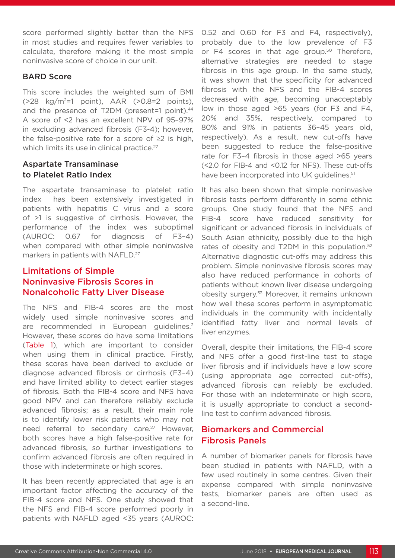score performed slightly better than the NFS in most studies and requires fewer variables to calculate, therefore making it the most simple noninvasive score of choice in our unit.

#### BARD Score

This score includes the weighted sum of BMI  $(28 \text{ kg/m}^2=1 \text{ point})$ , AAR  $(20.8=2 \text{ points})$ , and the presence of T2DM (present=1 point).<sup>44</sup> A score of <2 has an excellent NPV of 95–97% in excluding advanced fibrosis (F3-4); however, the false-positive rate for a score of  $\geq 2$  is high, which limits its use in clinical practice.<sup>27</sup>

#### Aspartate Transaminase to Platelet Ratio Index

The aspartate transaminase to platelet ratio index has been extensively investigated in patients with hepatitis C virus and a score of >1 is suggestive of cirrhosis. However, the performance of the index was suboptimal (AUROC: 0.67 for diagnosis of F3–4) when compared with other simple noninvasive markers in patients with NAFLD.<sup>27</sup>

# Limitations of Simple Noninvasive Fibrosis Scores in Nonalcoholic Fatty Liver Disease

The NFS and FIB-4 scores are the most widely used simple noninvasive scores and are recommended in European quidelines.<sup>2</sup> However, these scores do have some limitations (Table 1), which are important to consider when using them in clinical practice. Firstly, these scores have been derived to exclude or diagnose advanced fibrosis or cirrhosis (F3–4) and have limited ability to detect earlier stages of fibrosis. Both the FIB-4 score and NFS have good NPV and can therefore reliably exclude advanced fibrosis; as a result, their main role is to identify lower risk patients who may not need referral to secondary care.<sup>27</sup> However, both scores have a high false-positive rate for advanced fibrosis, so further investigations to confirm advanced fibrosis are often required in those with indeterminate or high scores.

It has been recently appreciated that age is an important factor affecting the accuracy of the FIB-4 score and NFS. One study showed that the NFS and FIB-4 score performed poorly in patients with NAFLD aged <35 years (AUROC:

0.52 and 0.60 for F3 and F4, respectively), probably due to the low prevalence of F3 or F4 scores in that age group.<sup>50</sup> Therefore, alternative strategies are needed to stage fibrosis in this age group. In the same study, it was shown that the specificity for advanced fibrosis with the NFS and the FIB-4 scores decreased with age, becoming unacceptably low in those aged >65 years (for F3 and F4, 20% and 35%, respectively, compared to 80% and 91% in patients 36–45 years old, respectively). As a result, new cut-offs have been suggested to reduce the false-positive rate for F3–4 fibrosis in those aged >65 years (<2.0 for FIB-4 and <0.12 for NFS). These cut-offs have been incorporated into UK quidelines.<sup>51</sup>

It has also been shown that simple noninvasive fibrosis tests perform differently in some ethnic groups. One study found that the NFS and FIB-4 score have reduced sensitivity for significant or advanced fibrosis in individuals of South Asian ethnicity, possibly due to the high rates of obesity and T2DM in this population.<sup>52</sup> Alternative diagnostic cut-offs may address this problem. Simple noninvasive fibrosis scores may also have reduced performance in cohorts of patients without known liver disease undergoing obesity surgery.53 Moreover, it remains unknown how well these scores perform in asymptomatic individuals in the community with incidentally identified fatty liver and normal levels of liver enzymes.

Overall, despite their limitations, the FIB-4 score and NFS offer a good first-line test to stage liver fibrosis and if individuals have a low score (using appropriate age corrected cut-offs), advanced fibrosis can reliably be excluded. For those with an indeterminate or high score, it is usually appropriate to conduct a secondline test to confirm advanced fibrosis.

#### Biomarkers and Commercial Fibrosis Panels

A number of biomarker panels for fibrosis have been studied in patients with NAFLD, with a few used routinely in some centres. Given their expense compared with simple noninvasive tests, biomarker panels are often used as a second-line.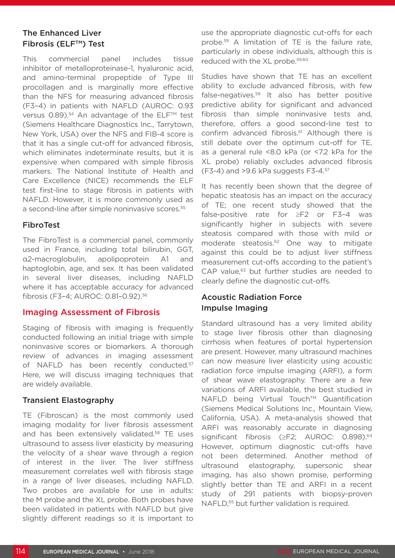# The Enhanced Liver Fibrosis (ELF™) Test

This commercial panel includes tissue inhibitor of metalloproteinase-1, hyaluronic acid, and amino-terminal propeptide of Type III procollagen and is marginally more effective than the NFS for measuring advanced fibrosis (F3–4) in patients with NAFLD (AUROC: 0.93 versus  $0.89$ ).<sup>54</sup> An advantage of the ELF<sup>TM</sup> test (Siemens Healthcare Diagnostics Inc., Tarrytown, New York, USA) over the NFS and FIB-4 score is that it has a single cut-off for advanced fibrosis, which eliminates indeterminate results, but it is expensive when compared with simple fibrosis markers. The National Institute of Health and Care Excellence (NICE) recommends the ELF test first-line to stage fibrosis in patients with NAFLD. However, it is more commonly used as a second-line after simple noninvasive scores.<sup>55</sup>

#### FibroTest

The FibroTest is a commercial panel, commonly used in France, including total bilirubin, GGT, α2-macroglobulin, apolipoprotein A1 and haptoglobin, age, and sex. It has been validated in several liver diseases, including NAFLD where it has acceptable accuracy for advanced fibrosis (F3–4; AUROC: 0.81–0.92).56

## Imaging Assessment of Fibrosis

Staging of fibrosis with imaging is frequently conducted following an initial triage with simple noninvasive scores or biomarkers. A thorough review of advances in imaging assessment of NAFLD has been recently conducted.<sup>57</sup> Here, we will discuss imaging techniques that are widely available.

#### Transient Elastography

TE (Fibroscan) is the most commonly used imaging modality for liver fibrosis assessment and has been extensively validated.<sup>58</sup> TE uses ultrasound to assess liver elasticity by measuring the velocity of a shear wave through a region of interest in the liver. The liver stiffness measurement correlates well with fibrosis stage in a range of liver diseases, including NAFLD. Two probes are available for use in adults: the M probe and the XL probe. Both probes have been validated in patients with NAFLD but give slightly different readings so it is important to

use the appropriate diagnostic cut-offs for each probe.59 A limitation of TE is the failure rate, particularly in obese individuals, although this is reduced with the XL probe.<sup>59,60</sup>

Studies have shown that TE has an excellent ability to exclude advanced fibrosis, with few false-negatives.59 It also has better positive predictive ability for significant and advanced fibrosis than simple noninvasive tests and, therefore, offers a good second-line test to confirm advanced fibrosis.<sup>61</sup> Although there is still debate over the optimum cut-off for TE, as a general rule <8.0 kPa (or <7.2 kPa for the XL probe) reliably excludes advanced fibrosis  $(F3-4)$  and >9.6 kPa suggests  $F3-4$ .<sup>57</sup>

It has recently been shown that the degree of hepatic steatosis has an impact on the accuracy of TE; one recent study showed that the false-positive rate for ≥F2 or F3–4 was significantly higher in subjects with severe steatosis compared with those with mild or moderate steatosis.62 One way to mitigate against this could be to adjust liver stiffness measurement cut-offs according to the patient's CAP value.<sup>63</sup> but further studies are needed to clearly define the diagnostic cut-offs.

## Acoustic Radiation Force Impulse Imaging

Standard ultrasound has a very limited ability to stage liver fibrosis other than diagnosing cirrhosis when features of portal hypertension are present. However, many ultrasound machines can now measure liver elasticity using acoustic radiation force impulse imaging (ARFI), a form of shear wave elastography. There are a few variations of ARFI available, the best studied in NAFLD being Virtual Touch™ Quantification (Siemens Medical Solutions Inc., Mountain View, California, USA). A meta-analysis showed that ARFI was reasonably accurate in diagnosing significant fibrosis (≥F2; AUROC: 0.898).<sup>64</sup> However, optimum diagnostic cut-offs have not been determined. Another method of ultrasound elastography, supersonic shear imaging, has also shown promise, performing slightly better than TE and ARFI in a recent study of 291 patients with biopsy-proven NAFLD,<sup>65</sup> but further validation is required.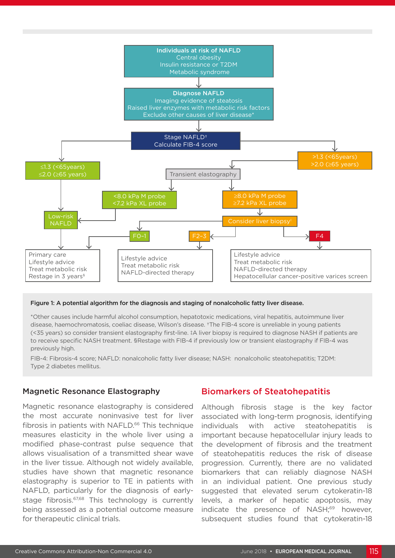

#### Figure 1: A potential algorithm for the diagnosis and staging of nonalcoholic fatty liver disease.

\*Other causes include harmful alcohol consumption, hepatotoxic medications, viral hepatitis, autoimmune liver disease, haemochromatosis, coeliac disease, Wilson's disease. †The FIB-4 score is unreliable in young patients (<35 years) so consider transient elastography first-line. ‡A liver biopsy is required to diagnose NASH if patients are to receive specific NASH treatment. §Restage with FIB-4 if previously low or transient elastography if FIB-4 was previously high.

FIB-4: Fibrosis-4 score; NAFLD: nonalcoholic fatty liver disease; NASH: nonalcoholic steatohepatitis; T2DM: Type 2 diabetes mellitus.

#### Magnetic Resonance Elastography

Magnetic resonance elastography is considered the most accurate noninvasive test for liver fibrosis in patients with NAFLD.<sup>66</sup> This technique measures elasticity in the whole liver using a modified phase-contrast pulse sequence that allows visualisation of a transmitted shear wave in the liver tissue. Although not widely available, studies have shown that magnetic resonance elastography is superior to TE in patients with NAFLD, particularly for the diagnosis of earlystage fibrosis.<sup>67,68</sup> This technology is currently being assessed as a potential outcome measure for therapeutic clinical trials.

# Biomarkers of Steatohepatitis

Although fibrosis stage is the key factor associated with long-term prognosis, identifying individuals with active steatohepatitis is important because hepatocellular injury leads to the development of fibrosis and the treatment of steatohepatitis reduces the risk of disease progression. Currently, there are no validated biomarkers that can reliably diagnose NASH in an individual patient. One previous study suggested that elevated serum cytokeratin-18 levels, a marker of hepatic apoptosis, may indicate the presence of NASH;<sup>69</sup> however, subsequent studies found that cytokeratin-18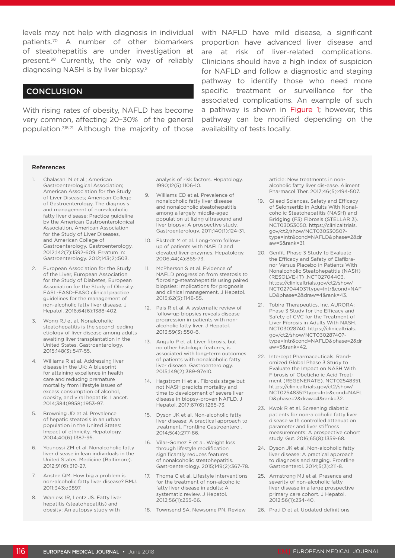levels may not help with diagnosis in individual with NAFLD have mild disease, a significant patients.70 A number of other biomarkers of steatohepatitis are under investigation at present.38 Currently, the only way of reliably diagnosing NASH is by liver biopsy.2

#### **CONCLUSION**

With rising rates of obesity, NAFLD has become very common, affecting 20–30% of the general population.7,15,21 Although the majority of those

proportion have advanced liver disease and are at risk of liver-related complications. Clinicians should have a high index of suspicion for NAFLD and follow a diagnostic and staging pathway to identify those who need more specific treatment or surveillance for the associated complications. An example of such a pathway is shown in Figure 1; however, this pathway can be modified depending on the availability of tests locally.

#### References

- 1. Chalasani N et al.; American Gastroenterological Association; American Association for the Study of Liver Diseases; American College of Gastroenterology. The diagnosis and management of non-alcoholic fatty liver disease: Practice guideline by the American Gastroenterological Association, American Association for the Study of Liver Diseases, and American College of Gastroenterology. Gastroenterology. 2012;142(7):1592-609. Erratum in: Gastroenterology. 2012;143(2):503.
- 2. European Association for the Study of the Liver, European Association for the Study of Diabetes, European Association for the Study of Obesity. EASL-EASD-EASO clinical practice guidelines for the management of non-alcoholic fatty liver disease. J Hepatol. 2016;64(6):1388-402.
- 3. Wong RJ et al. Nonalcoholic steatohepatitis is the second leading etiology of liver disease among adults awaiting liver transplantation in the United States. Gastroenterology. 2015;148(3):547-55.
- 4. Williams R et al. Addressing liver disease in the UK: A blueprint for attaining excellence in health care and reducing premature mortality from lifestyle issues of excess consumption of alcohol, obesity, and viral hepatitis. Lancet. 2014;384(9958):1953-97.
- 5. Browning JD et al. Prevalence of hepatic steatosis in an urban population in the United States: Impact of ethnicity. Hepatology. 2004;40(6):1387-95.
- 6. Younossi ZM et al. Nonalcoholic fatty liver disease in lean individuals in the United States. Medicine (Baltimore). 2012;91(6):319-27.
- 7. Anstee QM. How big a problem is non-alcoholic fatty liver disease? BMJ. 2011;343:d3897.
- 8. Wanless IR, Lentz JS. Fatty liver hepatitis (steatohepatitis) and obesity: An autopsy study with

analysis of risk factors. Hepatology. 1990;12(5):1106-10.

- 9. Williams CD et al. Prevalence of nonalcoholic fatty liver disease and nonalcoholic steatohepatitis among a largely middle-aged population utilizing ultrasound and liver biopsy: A prospective study. Gastroenterology. 2011;140(1):124-31.
- 10. Ekstedt M et al. Long-term followup of patients with NAFLD and elevated liver enzymes. Hepatology. 2006;44(4):865-73.
- 11. McPherson S et al. Evidence of NAFLD progression from steatosis to fibrosing-steatohepatitis using paired biopsies: Implications for prognosis and clinical management. J Hepatol. 2015;62(5):1148-55.
- 12. Pais R et al. A systematic review of follow-up biopsies reveals disease progression in patients with nonalcoholic fatty liver. J Hepatol. 2013;59(3):550-6.
- 13. Angulo P et al. Liver fibrosis, but no other histologic features, is associated with long-term outcomes of patients with nonalcoholic fatty liver disease. Gastroenterology. 2015;149(2):389-97e10.
- 14. Hagstrom H et al. Fibrosis stage but not NASH predicts mortality and time to development of severe liver disease in biopsy-proven NAFLD. J Hepatol. 2017;67(6):1265-73.
- 15. Dyson JK et al. Non-alcoholic fatty liver disease: A practical approach to treatment. Frontline Gastroenterol. 2014;5(4):277-86.
- 16. Vilar-Gomez E et al. Weight loss through lifestyle modification significantly reduces features of nonalcoholic steatohepatitis. Gastroenterology. 2015;149(2):367-78.
- 17. Thoma C et al. Lifestyle interventions for the treatment of non-alcoholic fatty liver disease in adults: A systematic review. J Hepatol. 2012;56(1):255-66.
- 18. Townsend SA, Newsome PN. Review

article: New treatments in nonalcoholic fatty liver dis-ease. Aliment Pharmacol Ther. 2017;46(5):494-507.

- 19. Gilead Sciences. Safety and Efficacy of Selonsertib in Adults With Nonalcoholic Steatohepatitis (NASH) and Bridging (F3) Fibrosis (STELLAR 3). NCT03053050. https://clinicaltrials. gov/ct2/show/NCT03053050? type=Intr&cond=NAFLD&phase=2&dr aw=5&rank=31.
- 20. Genfit. Phase 3 Study to Evaluate the Efficacy and Safety of Elafibranor Versus Placebo in Patients With Nonalcoholic Steatohepatitis (NASH) (RESOLVE-IT) .NCT02704403. https://clinicaltrials.gov/ct2/show/ NCT02704403?type=Intr&cond=NAF LD&phase=2&draw=4&rank=43.
- 21. Tobira Therapeutics, Inc. AURORA: Phase 3 Study for the Efficacy and Safety of CVC for the Treatment of Liver Fibrosis in Adults With NASH. NCT03028740. https://clinicaltrials. gov/ct2/show/NCT03028740? type=Intr&cond=NAFLD&phase=2&dr aw=5&rank=42.
- 22. Intercept Pharmaceuticals. Randomized Global Phase 3 Study to Evaluate the Impact on NASH With Fibrosis of Obeticholic Acid Treatment (REGENERATE). NCT02548351. https://clinicaltrials.gov/ct2/show/ NCT02548351?type=Intr&cond=NAFL D&phase=2&draw=4&rank=32.
- 23. Kwok R et al. Screening diabetic patients for non-alcoholic fatty liver disease with controlled attenuation parameter and liver stiffness measurements: A prospective cohort study. Gut. 2016;65(8):1359-68.
- 24. Dyson JK et al. Non-alcoholic fatty liver disease: A practical approach to diagnosis and staging. Frontline Gastroenterol. 2014;5(3):211-8.
- 25. Armstrong MJ et al. Presence and severity of non-alcoholic fatty liver disease in a large prospective primary care cohort. J Hepatol. 2012;56(1):234-40.
- 26. Prati D et al. Updated definitions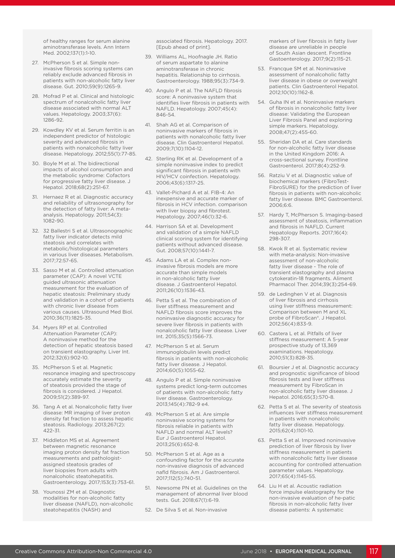of healthy ranges for serum alanine aminotransferase levels. Ann Intern Med. 2002;137(1):1-10.

- 27. McPherson S et al. Simple noninvasive fibrosis scoring systems can reliably exclude advanced fibrosis in patients with non-alcoholic fatty liver disease. Gut. 2010;59(9):1265-9.
- 28. Mofrad P et al. Clinical and histologic spectrum of nonalcoholic fatty liver disease associated with normal ALT values. Hepatology. 2003;37(6): 1286-92.
- 29. Kowdley KV et al. Serum ferritin is an independent predictor of histologic severity and advanced fibrosis in patients with nonalcoholic fatty liver disease. Hepatology. 2012;55(1):77-85.
- 30. Boyle M et al. The bidirectional impacts of alcohol consumption and the metabolic syndrome: Cofactors for progressive fatty liver disease. J Hepatol. 2018;68(2):251-67.
- 31. Hernaez R et al. Diagnostic accuracy and reliability of ultrasonography for the detection of fatty liver: A metaanalysis. Hepatology. 2011;54(3): 1082-90.
- 32. 32 Ballestri S et al. Ultrasonographic fatty liver indicator detects mild steatosis and correlates with metabolic/histological parameters in various liver diseases. Metabolism. 2017;72:57-65.
- 33. Sasso M et al. Controlled attenuation parameter (CAP): A novel VCTE guided ultrasonic attenuation measurement for the evaluation of hepatic steatosis: Preliminary study and validation in a cohort of patients with chronic liver disease from various causes. Ultrasound Med Biol. 2010;36(11):1825-35.
- 34. Myers RP et al. Controlled Attenuation Parameter (CAP): A noninvasive method for the detection of hepatic steatosis based on transient elastography. Liver Int. 2012;32(6):902-10.
- 35. McPherson S et al. Magnetic resonance imaging and spectroscopy accurately estimate the severity of steatosis provided the stage of fibrosis is considered. J Hepatol. 2009;51(2):389-97.
- 36. Tang A et al. Nonalcoholic fatty liver disease: MR imaging of liver proton density fat fraction to assess hepatic steatosis. Radiology. 2013;267(2): 422-31.
- 37. Middleton MS et al. Agreement between magnetic resonance imaging proton density fat fraction measurements and pathologistassigned steatosis grades of liver biopsies from adults with nonalcoholic steatohepatitis. Gastroenterology. 2017;153(3):753-61.
- 38. Younossi ZM et al. Diagnostic modalities for non-alcoholic fatty liver disease (NAFLD), non-alcoholic steatohepatitis (NASH) and

associated fibrosis. Hepatology. 2017. [Epub ahead of print].

- 39. Williams AL, Hoofnagle JH. Ratio of serum aspartate to alanine aminotransferase in chronic hepatitis. Relationship to cirrhosis. Gastroenterology. 1988;95(3):734-9.
- 40. Angulo P et al. The NAFLD fibrosis score: A noninvasive system that identifies liver fibrosis in patients with NAFLD. Hepatology. 2007;45(4): 846-54.
- 41. Shah AG et al. Comparison of noninvasive markers of fibrosis in patients with nonalcoholic fatty liver disease. Clin Gastroenterol Hepatol. 2009;7(10):1104-12.
- 42. Sterling RK et al. Development of a simple noninvasive index to predict significant fibrosis in patients with HIV/HCV coinfection. Hepatology. 2006;43(6):1317-25.
- 43. Vallet-Pichard A et al. FIB-4: An inexpensive and accurate marker of fibrosis in HCV infection. comparison with liver biopsy and fibrotest. Hepatology. 2007;46(1):32-6.
- 44. Harrison SA et al. Development and validation of a simple NAFLD clinical scoring system for identifying patients without advanced disease. Gut. 2008;57(10):1441-7.
- 45. Adams LA et al. Complex noninvasive fibrosis models are more accurate than simple models in non-alcoholic fatty liver disease. J Gastroenterol Hepatol. 2011;26(10):1536-43.
- 46. Petta S et al. The combination of liver stiffness measurement and NAFLD fibrosis score improves the noninvasive diagnostic accuracy for severe liver fibrosis in patients with nonalcoholic fatty liver disease. Liver Int. 2015;35(5):1566-73.
- 47. McPherson S et al. Serum immunoglobulin levels predict fibrosis in patients with non-alcoholic fatty liver disease. J Hepatol. 2014;60(5):1055-62.
- 48. Angulo P et al. Simple noninvasive systems predict long-term outcomes of patients with non-alcoholic fatty liver disease. Gastroenterology. 2013;145(4):782-9 e4.
- 49. McPherson S et al. Are simple noninvasive scoring systems for fibrosis reliable in patients with NAFLD and normal ALT levels? Eur J Gastroenterol Hepatol. 2013;25(6):652-8.
- 50. McPherson S et al. Age as a confounding factor for the accurate non-invasive diagnosis of advanced nafld fibrosis. Am J Gastroenterol. 2017;112(5):740-51.
- 51. Newsome PN et al. Guidelines on the management of abnormal liver blood tests. Gut. 2018;67(1):6-19.
- 52. De Silva S et al. Non-invasive

markers of liver fibrosis in fatty liver disease are unreliable in people of South Asian descent. Frontline Gastoenterology. 2017;9(2):115-21.

- 53. Francque SM et al. Noninvasive assessment of nonalcoholic fatty liver disease in obese or overweight patients. Clin Gastroenterol Hepatol. 2012;10(10):1162-8.
- 54. Guha IN et al. Noninvasive markers of fibrosis in nonalcoholic fatty liver disease: Validating the European Liver Fibrosis Panel and exploring simple markers. Hepatology. 2008;47(2):455-60.
- 55. Sheridan DA et al. Care standards for non-alcoholic fatty liver disease in the United Kingdom 2016: A cross-sectional survey. Frontline Gastroenterol. 2017;8(4):252-9.
- 56. Ratziu V et al. Diagnostic value of biochemical markers (FibroTest-FibroSURE) for the prediction of liver fibrosis in patients with non-alcoholic fatty liver disease. BMC Gastroenterol. 2006;6:6.
- 57. Hardy T, McPherson S. Imaging-based assessment of steatosis, inflammation and fibrosis in NAFLD. Current Hepatology Reports. 2017;16(4): 298-307.
- 58. Kwok R et al. Systematic review with meta-analysis: Non-invasive assessment of non-alcoholic fatty liver disease - The role of transient elastography and plasma cytokeratin-18 fragments. Aliment Pharmacol Ther. 2014;39(3):254-69.
- 59. de Ledinghen V et al. Diagnosis of liver fibrosis and cirrhosis using liver stiffness measurement: Comparison between M and XL probe of FibroScan®. J Hepatol. 2012;56(4):833-9.
- 60. Castera L et al. Pitfalls of liver stiffness measurement: A 5-year prospective study of 13,369 examinations. Hepatology. 2010;51(3):828-35.
- 61. Boursier J et al. Diagnostic accuracy and prognostic significance of blood fibrosis tests and liver stiffness measurement by FibroScan in non-alcoholic fatty liver disease. J Hepatol. 2016;65(3):570-8.
- 62. Petta S et al. The severity of steatosis influences liver stiffness measurement in patients with nonalcoholic fatty liver disease. Hepatology. 2015;62(4):1101-10.
- 63. Petta S et al. Improved noninvasive prediction of liver fibrosis by liver stiffness measurement in patients with nonalcoholic fatty liver disease accounting for controlled attenuation parameter values. Hepatology. 2017;65(4):1145-55.
- 64. Liu H et al. Acoustic radiation force impulse elastography for the non-invasive evaluation of he-patic fibrosis in non-alcoholic fatty liver disease patients: A systematic